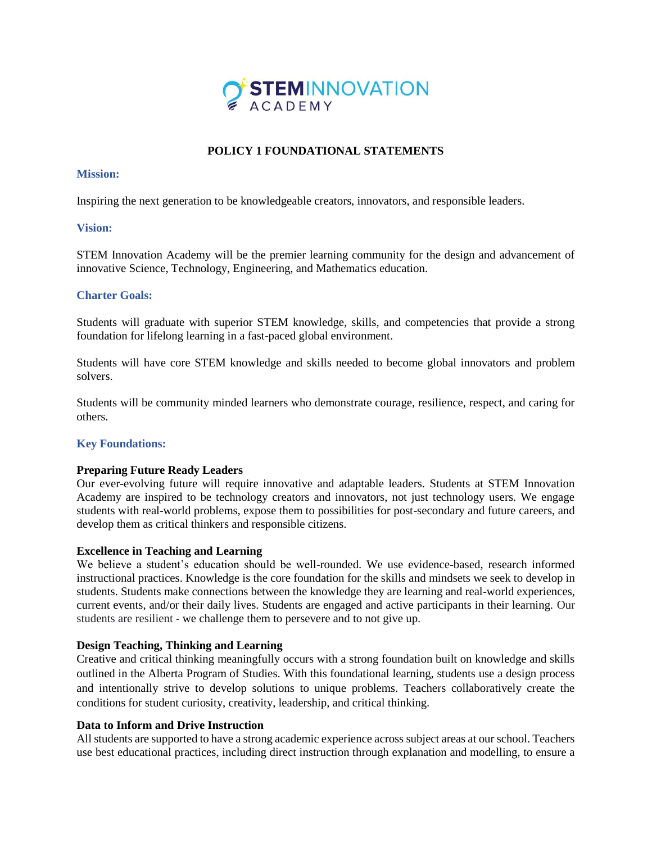

# **POLICY 1 FOUNDATIONAL STATEMENTS**

#### **Mission:**

Inspiring the next generation to be knowledgeable creators, innovators, and responsible leaders.

# **Vision:**

STEM Innovation Academy will be the premier learning community for the design and advancement of innovative Science, Technology, Engineering, and Mathematics education.

# **Charter Goals:**

Students will graduate with superior STEM knowledge, skills, and competencies that provide a strong foundation for lifelong learning in a fast-paced global environment.

Students will have core STEM knowledge and skills needed to become global innovators and problem solvers.

Students will be community minded learners who demonstrate courage, resilience, respect, and caring for others.

# **Key Foundations:**

#### **Preparing Future Ready Leaders**

Our ever-evolving future will require innovative and adaptable leaders. Students at STEM Innovation Academy are inspired to be technology creators and innovators, not just technology users. We engage students with real-world problems, expose them to possibilities for post-secondary and future careers, and develop them as critical thinkers and responsible citizens.

#### **Excellence in Teaching and Learning**

We believe a student's education should be well-rounded. We use evidence-based, research informed instructional practices. Knowledge is the core foundation for the skills and mindsets we seek to develop in students. Students make connections between the knowledge they are learning and real-world experiences, current events, and/or their daily lives. Students are engaged and active participants in their learning. Our students are resilient - we challenge them to persevere and to not give up.

# **Design Teaching, Thinking and Learning**

Creative and critical thinking meaningfully occurs with a strong foundation built on knowledge and skills outlined in the Alberta Program of Studies. With this foundational learning, students use a design process and intentionally strive to develop solutions to unique problems. Teachers collaboratively create the conditions for student curiosity, creativity, leadership, and critical thinking.

# **Data to Inform and Drive Instruction**

All students are supported to have a strong academic experience across subject areas at our school. Teachers use best educational practices, including direct instruction through explanation and modelling, to ensure a